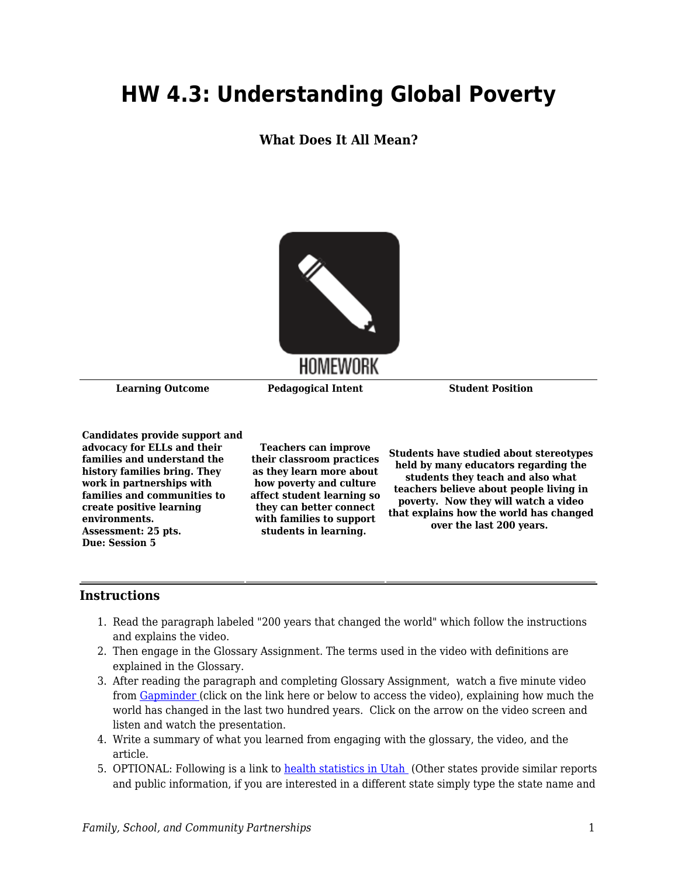# **HW 4.3: Understanding Global Poverty**

**What Does It All Mean?**



**Learning Outcome Pedagogical Intent Student Position**

**Candidates provide support and advocacy for ELLs and their families and understand the history families bring. They work in partnerships with families and communities to create positive learning environments. Assessment: 25 pts. Due: Session 5**

**Teachers can improve their classroom practices as they learn more about how poverty and culture affect student learning so they can better connect with families to support students in learning.** 

**Students have studied about stereotypes held by many educators regarding the students they teach and also what teachers believe about people living in poverty. Now they will watch a video that explains how the world has changed over the last 200 years.** 

### **Instructions**

- 1. Read the paragraph labeled "200 years that changed the world" which follow the instructions and explains the video.
- 2. Then engage in the Glossary Assignment. The terms used in the video with definitions are explained in the Glossary.
- 3. After reading the paragraph and completing Glossary Assignment, watch a five minute video from [Gapminder](https://www.gapminder.org/videos/200-years-that-changed-the-world/) (click on the link here or below to access the video), explaining how much the world has changed in the last two hundred years. Click on the arrow on the video screen and listen and watch the presentation.
- 4. Write a summary of what you learned from engaging with the glossary, the video, and the article.
- 5. OPTIONAL: Following is a link to [health statistics in Utah](https://ibis.health.utah.gov/ibisph-view/publications/index/Topical.html#Health%20Status%20Updates%20(2017)) (Other states provide similar reports and public information, if you are interested in a different state simply type the state name and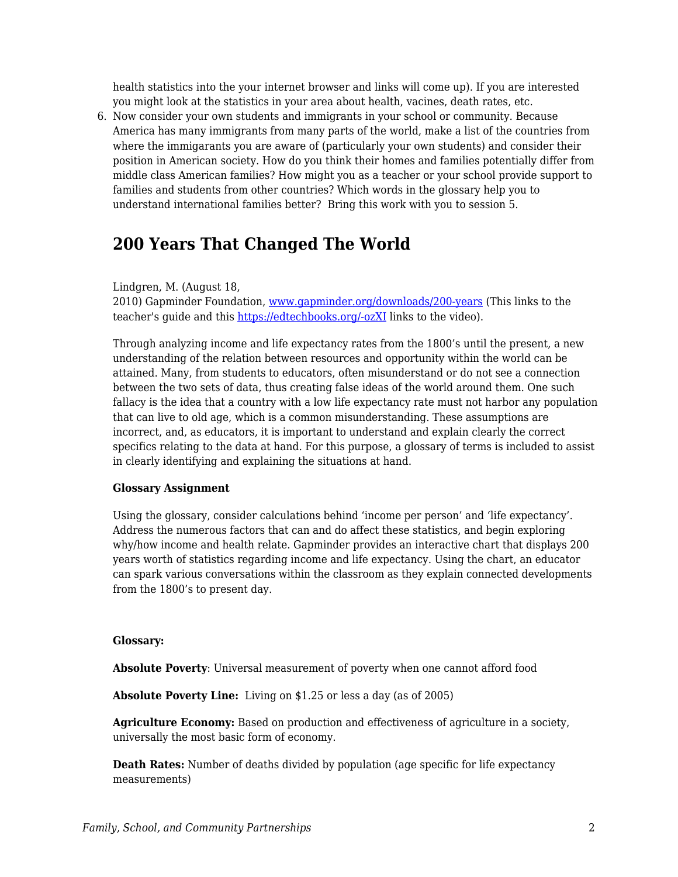health statistics into the your internet browser and links will come up). If you are interested you might look at the statistics in your area about health, vacines, death rates, etc.

6. Now consider your own students and immigrants in your school or community. Because America has many immigrants from many parts of the world, make a list of the countries from where the immigarants you are aware of (particularly your own students) and consider their position in American society. How do you think their homes and families potentially differ from middle class American families? How might you as a teacher or your school provide support to families and students from other countries? Which words in the glossary help you to understand international families better? Bring this work with you to session 5.

## **200 Years That Changed The World**

Lindgren, M. (August 18,

2010) Gapminder Foundation, [www.gapminder.org/downloads/200-years](http://www.gapminder.org/downloads/200-years) (This links to the teacher's quide and this [https://edtechbooks.org/-ozXI](https://www.gapminder.org/videos/200-years-that-changed-the-world/) links to the video).

Through analyzing income and life expectancy rates from the 1800's until the present, a new understanding of the relation between resources and opportunity within the world can be attained. Many, from students to educators, often misunderstand or do not see a connection between the two sets of data, thus creating false ideas of the world around them. One such fallacy is the idea that a country with a low life expectancy rate must not harbor any population that can live to old age, which is a common misunderstanding. These assumptions are incorrect, and, as educators, it is important to understand and explain clearly the correct specifics relating to the data at hand. For this purpose, a glossary of terms is included to assist in clearly identifying and explaining the situations at hand.

### **Glossary Assignment**

Using the glossary, consider calculations behind 'income per person' and 'life expectancy'. Address the numerous factors that can and do affect these statistics, and begin exploring why/how income and health relate. Gapminder provides an interactive chart that displays 200 years worth of statistics regarding income and life expectancy. Using the chart, an educator can spark various conversations within the classroom as they explain connected developments from the 1800's to present day.

### **Glossary:**

**Absolute Poverty**: Universal measurement of poverty when one cannot afford food

**Absolute Poverty Line:** Living on \$1.25 or less a day (as of 2005)

**Agriculture Economy:** Based on production and effectiveness of agriculture in a society, universally the most basic form of economy.

**Death Rates:** Number of deaths divided by population (age specific for life expectancy measurements)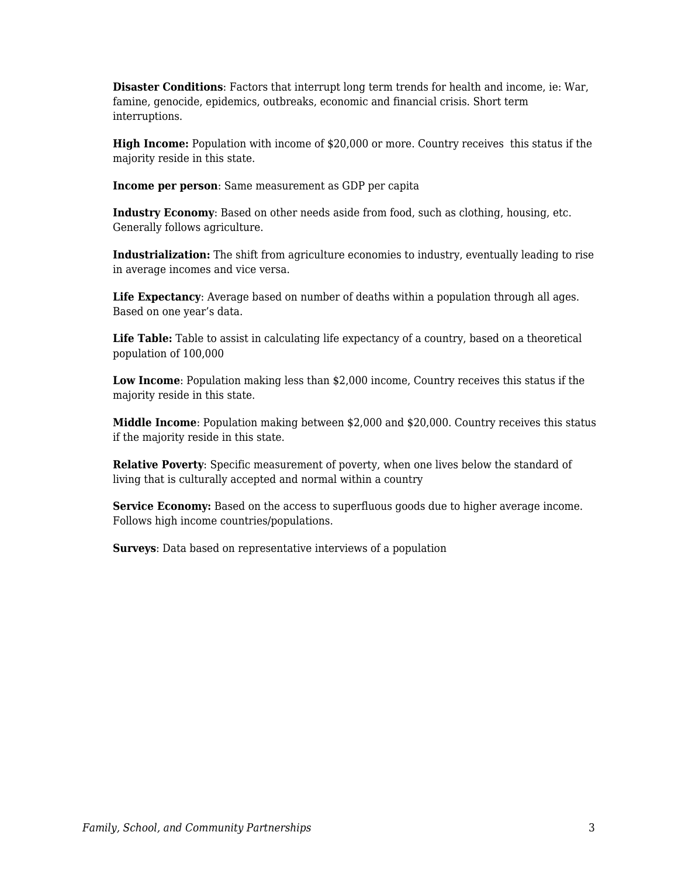**Disaster Conditions**: Factors that interrupt long term trends for health and income, ie: War, famine, genocide, epidemics, outbreaks, economic and financial crisis. Short term interruptions.

**High Income:** Population with income of \$20,000 or more. Country receives this status if the majority reside in this state.

**Income per person**: Same measurement as GDP per capita

**Industry Economy**: Based on other needs aside from food, such as clothing, housing, etc. Generally follows agriculture.

**Industrialization:** The shift from agriculture economies to industry, eventually leading to rise in average incomes and vice versa.

**Life Expectancy**: Average based on number of deaths within a population through all ages. Based on one year's data.

**Life Table:** Table to assist in calculating life expectancy of a country, based on a theoretical population of 100,000

**Low Income**: Population making less than \$2,000 income, Country receives this status if the majority reside in this state.

**Middle Income**: Population making between \$2,000 and \$20,000. Country receives this status if the majority reside in this state.

**Relative Poverty**: Specific measurement of poverty, when one lives below the standard of living that is culturally accepted and normal within a country

**Service Economy:** Based on the access to superfluous goods due to higher average income. Follows high income countries/populations.

**Surveys**: Data based on representative interviews of a population